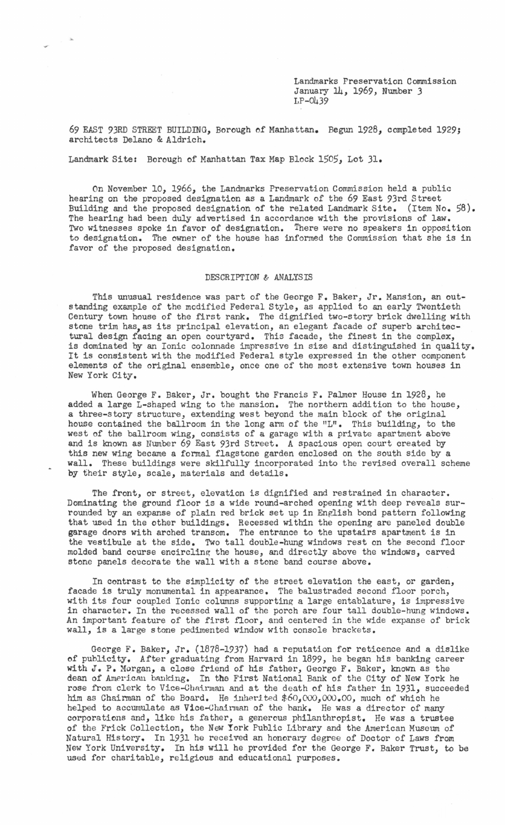Landmarks Preservation Commission January 14, 1969, Number 3 LP-0439

69 EAST 93RD STREET BUILDING, Borough of Manhattan. Begun 1928, completed 1929; architects Delano & Aldrich.

Landmark Site: Borough of Manhattan Tax Map Block 1505, Lot 31.

On November 10, 1966, the Landmarks Preservation Commission held a public hearing on the proposed designation as a Landmark of the 69 East 93rd Street Building and the proposed designation of the related Landmark Site. (Item No. 58). The hearing had been duly advertised in accordance with the provisions of law. Two witnesses spoke in favor of designation. There were no speakers in opposition to designation. The owner of the house has informed the Commission that she is in favor of the proposed designation.

## DESCRIPTION & ANALYSIS

This unusual residence was part of the George F. Baker, Jr. Mansion, an outstanding example of the modified Federal Style, as applied to an early Twentieth Century town house of the first rank. The dignified two-story brick dwelling with stone trim has, as its principal elevation, an elegant facade of superb architectural design facing an open courtyard. This facade, the finest in the complex, is dominated by an Ionic colonnade impressive in size and distinguished in quality. It is consistent with the modified Federal style expressed in the other component elements of the original ensemble, once one of the most extensive town houses in New York City.

When George F. Baker, Jr. bought the Francis F. Palmer House in 1928, he added a large L-shaped wing to the mansion. The northern addition to the house, a three-story structure, extending west beyond the main block of the original house contained the ballroom in the long arm of the "L". This building, to the west of the ballroom wing, consists of a garage with *a* private apartment above and is known as Number 69 East 93rd Street. A spacious open court created by this new wing became a formal flagstone garden enclosed on the south side by a wall. These buildings were skilfully incorporated into the revised overall scheme by their style, scale, materials and details.

The front, or street, elevation is dignified and restrained in character. Dominating the ground floor is a wide round-arched opening with deep reveals surrounded by an expanse of plain red brick set up in English bond pattern following that used in the other buildings. Recessed within the opening are paneled double garage doors with arched transom. The entrance to the upstairs apartment is in the vestibule at the side. Two tall double-hung windows rest on the second floor molded band course encircling the house, and directly above the windows, carved stone panels decorate the wall with a stone band course above.

In contrast to the simplicity of the street elevation the east, or garden, facade is truly monumental in appearance. The balustraded second floor porch, with its four coupled Ionic columns supporting a large entablature, is impressive in character. In the recessed wall of the porch are four tall double-hung windows. An important feature of the first floor, and centered in the wide expanse of brick wall, is a large stone pedimented window with console brackets.

George F. Baker, Jr. (1878-1937) had a reputation for reticence and a dislike of publicity. After graduating from Harvard in 1899, he began his banking career with J. P. Morgan, a close friend of his father, George F. Baker, known as the dean of American banking. In the First National Bank of the City of New York he rose from clerk to Vice-Chairman and at the death of his father in 1931, succeeded him as Chairman of the Board. He inherited  $$60,000,000$ . The of which he helped to accumulate as Vioe-Ghainnan of the bank. He was a director of many corporations and, like his father, a generous philanthropist. He was a trustee of the Frick Collection, the New York Public Library and the American Museum of Natural History. In 1931 he received an honorary degree of Doctor of Laws from New York University. In his will he provided for the George F. Baker Trust, to be used for charitable, religious and educational purposes.